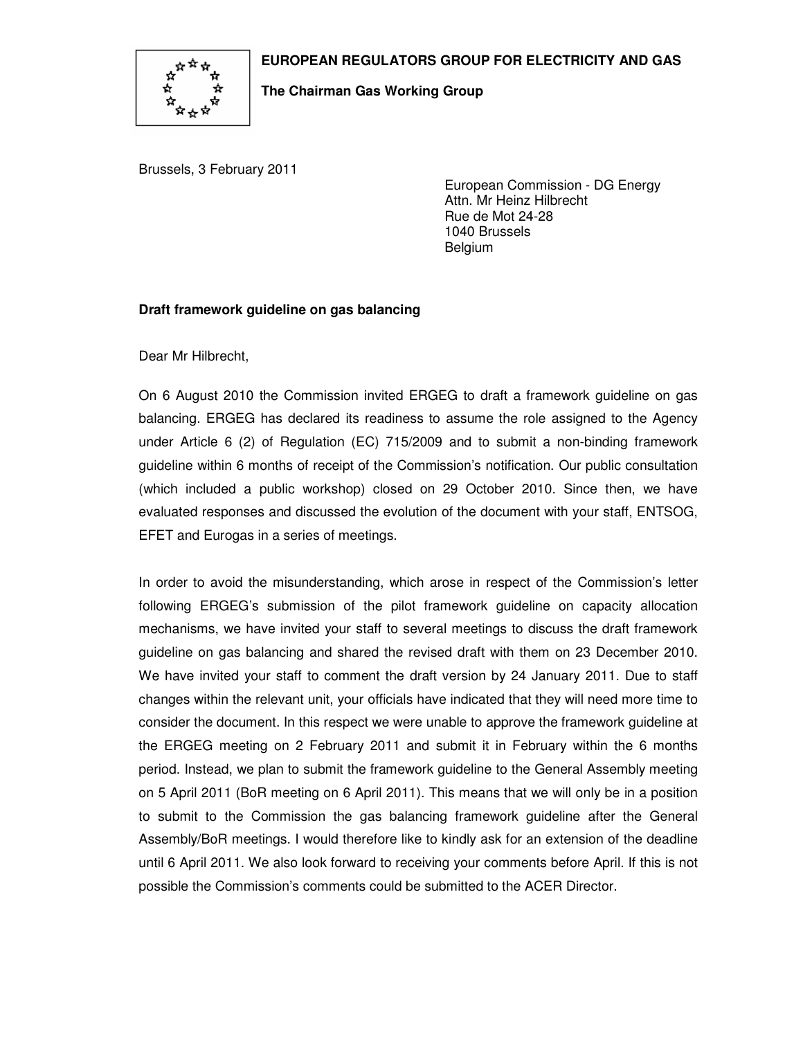

## **EUROPEAN REGULATORS GROUP FOR ELECTRICITY AND GAS**

## **The Chairman Gas Working Group**

Brussels, 3 February 2011

European Commission - DG Energy Attn. Mr Heinz Hilbrecht Rue de Mot 24-28 1040 Brussels Belgium

## **Draft framework guideline on gas balancing**

Dear Mr Hilbrecht,

On 6 August 2010 the Commission invited ERGEG to draft a framework guideline on gas balancing. ERGEG has declared its readiness to assume the role assigned to the Agency under Article 6 (2) of Regulation (EC) 715/2009 and to submit a non-binding framework guideline within 6 months of receipt of the Commission's notification. Our public consultation (which included a public workshop) closed on 29 October 2010. Since then, we have evaluated responses and discussed the evolution of the document with your staff, ENTSOG, EFET and Eurogas in a series of meetings.

In order to avoid the misunderstanding, which arose in respect of the Commission's letter following ERGEG's submission of the pilot framework guideline on capacity allocation mechanisms, we have invited your staff to several meetings to discuss the draft framework guideline on gas balancing and shared the revised draft with them on 23 December 2010. We have invited your staff to comment the draft version by 24 January 2011. Due to staff changes within the relevant unit, your officials have indicated that they will need more time to consider the document. In this respect we were unable to approve the framework guideline at the ERGEG meeting on 2 February 2011 and submit it in February within the 6 months period. Instead, we plan to submit the framework guideline to the General Assembly meeting on 5 April 2011 (BoR meeting on 6 April 2011). This means that we will only be in a position to submit to the Commission the gas balancing framework guideline after the General Assembly/BoR meetings. I would therefore like to kindly ask for an extension of the deadline until 6 April 2011. We also look forward to receiving your comments before April. If this is not possible the Commission's comments could be submitted to the ACER Director.